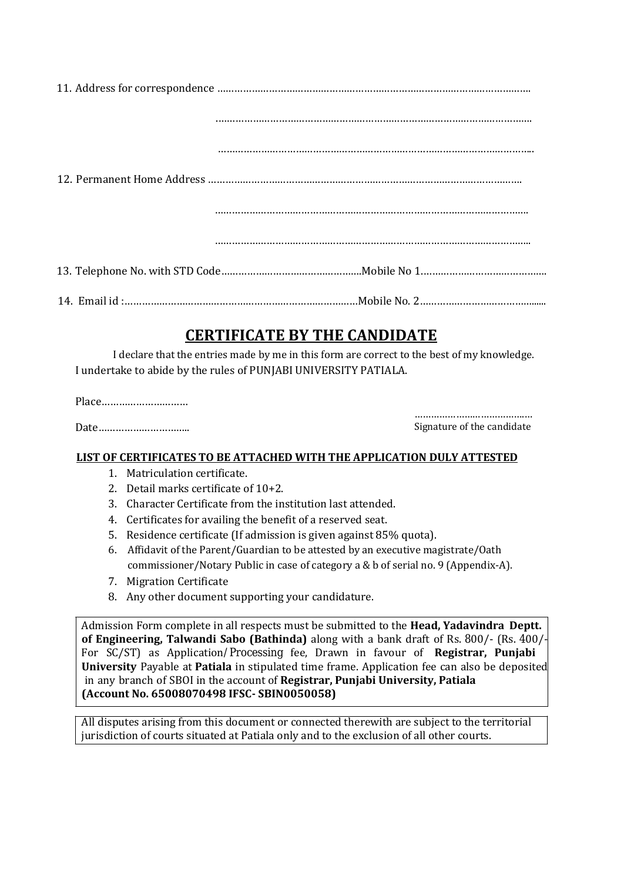## **CERTIFICATE BY THE CANDIDATE**

I declare that the entries made by me in this form are correct to the best of my knowledge. I undertake to abide by the rules of PUNJABI UNIVERSITY PATIALA.

Place…………………………

Date…………………………..

………………………………………… Signature of the candidate

## **LIST OF CERTIFICATES TO BE ATTACHED WITH THE APPLICATION DULY ATTESTED**

- 1. Matriculation certificate.
- 2. Detail marks certificate of 10+2.
- 3. Character Certificate from the institution last attended.
- 4. Certificates for availing the benefit of a reserved seat.
- 5. Residence certificate (If admission is given against 85% quota).
- 6. Affidavit of the Parent/Guardian to be attested by an executive magistrate/Oath commissioner/Notary Public in case of category a & b of serial no. 9 (Appendix-A).
- 7. Migration Certificate
- 8. Any other document supporting your candidature.

 in any branch of SBOI in the account of **Registrar, Punjabi University, Patiala**  Admission Form complete in all respects must be submitted to the **Head, Yadavindra Deptt. of Engineering, Talwandi Sabo (Bathinda)** along with a bank draft of Rs. 800/- (Rs. 400/- For SC/ST) as Application/Processing fee, Drawn in favour of **Registrar, Punjabi University** Payable at **Patiala** in stipulated time frame. Application fee can also be deposited **(Account No. 65008070498 IFSC- SBIN0050058)** 

All disputes arising from this document or connected therewith are subject to the territorial jurisdiction of courts situated at Patiala only and to the exclusion of all other courts.